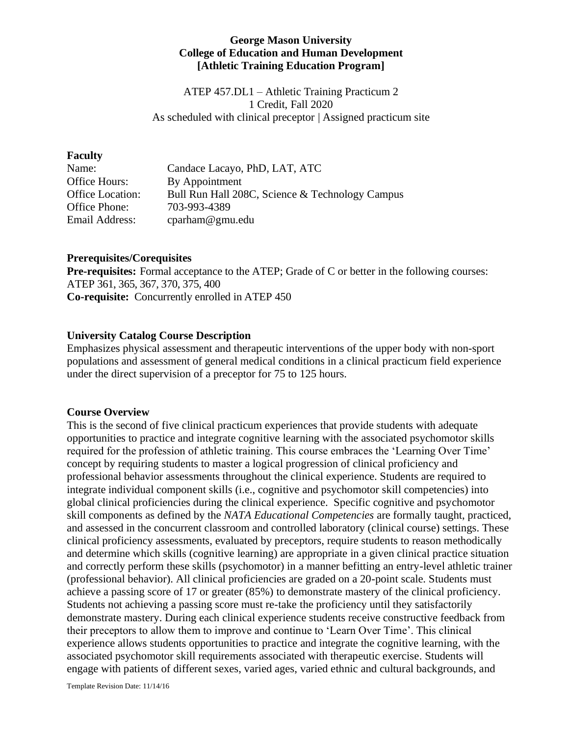## **George Mason University College of Education and Human Development [Athletic Training Education Program]**

ATEP 457.DL1 – Athletic Training Practicum 2 1 Credit, Fall 2020 As scheduled with clinical preceptor | Assigned practicum site

#### **Faculty**

| Candace Lacayo, PhD, LAT, ATC                   |
|-------------------------------------------------|
| By Appointment                                  |
| Bull Run Hall 208C, Science & Technology Campus |
| 703-993-4389                                    |
| cparham@gmu.edu                                 |
|                                                 |

### **Prerequisites/Corequisites**

**Pre-requisites:** Formal acceptance to the ATEP; Grade of C or better in the following courses: ATEP 361, 365, 367, 370, 375, 400 **Co-requisite:** Concurrently enrolled in ATEP 450

# **University Catalog Course Description**

Emphasizes physical assessment and therapeutic interventions of the upper body with non-sport populations and assessment of general medical conditions in a clinical practicum field experience under the direct supervision of a preceptor for 75 to 125 hours.

### **Course Overview**

This is the second of five clinical practicum experiences that provide students with adequate opportunities to practice and integrate cognitive learning with the associated psychomotor skills required for the profession of athletic training. This course embraces the 'Learning Over Time' concept by requiring students to master a logical progression of clinical proficiency and professional behavior assessments throughout the clinical experience. Students are required to integrate individual component skills (i.e., cognitive and psychomotor skill competencies) into global clinical proficiencies during the clinical experience. Specific cognitive and psychomotor skill components as defined by the *NATA Educational Competencies* are formally taught, practiced, and assessed in the concurrent classroom and controlled laboratory (clinical course) settings. These clinical proficiency assessments, evaluated by preceptors, require students to reason methodically and determine which skills (cognitive learning) are appropriate in a given clinical practice situation and correctly perform these skills (psychomotor) in a manner befitting an entry-level athletic trainer (professional behavior). All clinical proficiencies are graded on a 20-point scale. Students must achieve a passing score of 17 or greater (85%) to demonstrate mastery of the clinical proficiency. Students not achieving a passing score must re-take the proficiency until they satisfactorily demonstrate mastery. During each clinical experience students receive constructive feedback from their preceptors to allow them to improve and continue to 'Learn Over Time'. This clinical experience allows students opportunities to practice and integrate the cognitive learning, with the associated psychomotor skill requirements associated with therapeutic exercise. Students will engage with patients of different sexes, varied ages, varied ethnic and cultural backgrounds, and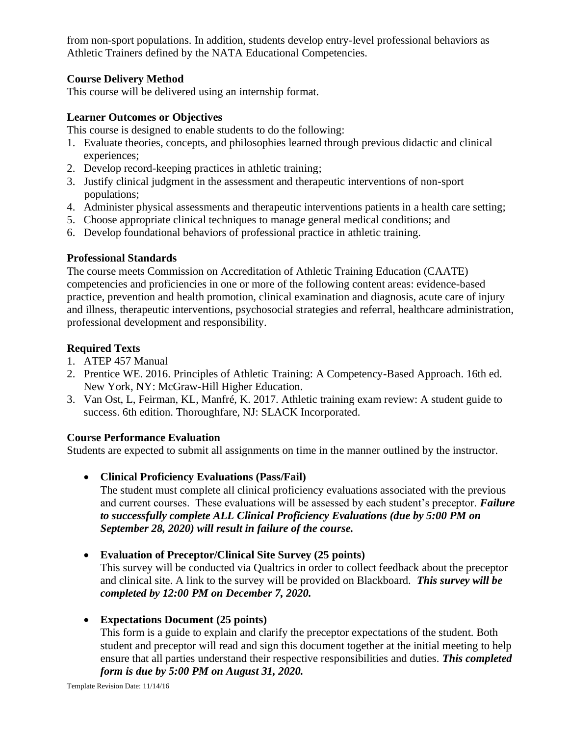from non-sport populations. In addition, students develop entry-level professional behaviors as Athletic Trainers defined by the NATA Educational Competencies.

# **Course Delivery Method**

This course will be delivered using an internship format.

# **Learner Outcomes or Objectives**

This course is designed to enable students to do the following:

- 1. Evaluate theories, concepts, and philosophies learned through previous didactic and clinical experiences;
- 2. Develop record-keeping practices in athletic training;
- 3. Justify clinical judgment in the assessment and therapeutic interventions of non-sport populations;
- 4. Administer physical assessments and therapeutic interventions patients in a health care setting;
- 5. Choose appropriate clinical techniques to manage general medical conditions; and
- 6. Develop foundational behaviors of professional practice in athletic training.

# **Professional Standards**

The course meets Commission on Accreditation of Athletic Training Education (CAATE) competencies and proficiencies in one or more of the following content areas: evidence-based practice, prevention and health promotion, clinical examination and diagnosis, acute care of injury and illness, therapeutic interventions, psychosocial strategies and referral, healthcare administration, professional development and responsibility.

# **Required Texts**

- 1. ATEP 457 Manual
- 2. Prentice WE. 2016. Principles of Athletic Training: A Competency-Based Approach. 16th ed. New York, NY: McGraw-Hill Higher Education.
- 3. Van Ost, L, Feirman, KL, Manfré, K. 2017. Athletic training exam review: A student guide to success. 6th edition. Thoroughfare, NJ: SLACK Incorporated.

# **Course Performance Evaluation**

Students are expected to submit all assignments on time in the manner outlined by the instructor.

• **Clinical Proficiency Evaluations (Pass/Fail)**

The student must complete all clinical proficiency evaluations associated with the previous and current courses. These evaluations will be assessed by each student's preceptor. *Failure to successfully complete ALL Clinical Proficiency Evaluations (due by 5:00 PM on September 28, 2020) will result in failure of the course.*

# • **Evaluation of Preceptor/Clinical Site Survey (25 points)**

This survey will be conducted via Qualtrics in order to collect feedback about the preceptor and clinical site. A link to the survey will be provided on Blackboard. *This survey will be completed by 12:00 PM on December 7, 2020.*

# • **Expectations Document (25 points)**

This form is a guide to explain and clarify the preceptor expectations of the student. Both student and preceptor will read and sign this document together at the initial meeting to help ensure that all parties understand their respective responsibilities and duties. *This completed form is due by 5:00 PM on August 31, 2020.*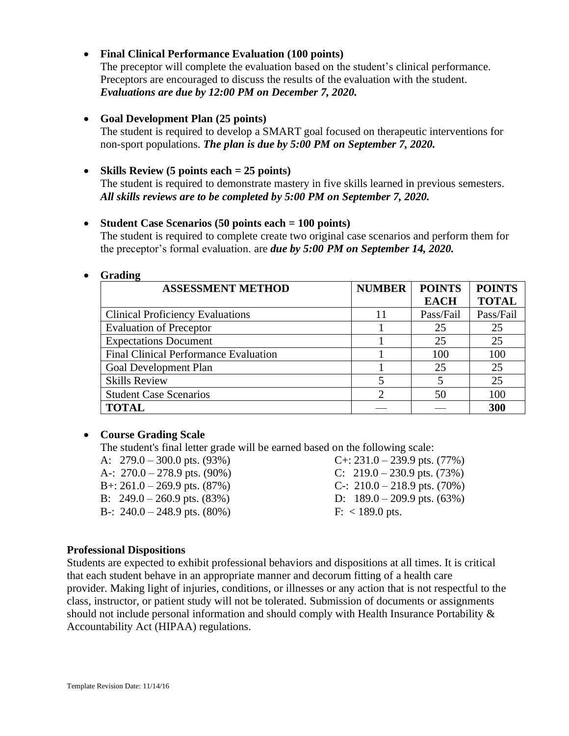## • **Final Clinical Performance Evaluation (100 points)**

The preceptor will complete the evaluation based on the student's clinical performance. Preceptors are encouraged to discuss the results of the evaluation with the student. *Evaluations are due by 12:00 PM on December 7, 2020.*

## • **Goal Development Plan (25 points)**

The student is required to develop a SMART goal focused on therapeutic interventions for non-sport populations. *The plan is due by 5:00 PM on September 7, 2020.*

## • **Skills Review (5 points each = 25 points)**

The student is required to demonstrate mastery in five skills learned in previous semesters. *All skills reviews are to be completed by 5:00 PM on September 7, 2020.*

### • **Student Case Scenarios (50 points each = 100 points)**

The student is required to complete create two original case scenarios and perform them for the preceptor's formal evaluation. are *due by 5:00 PM on September 14, 2020.*

#### • **Grading**

| o<br><b>ASSESSMENT METHOD</b>                | <b>NUMBER</b> | <b>POINTS</b> | <b>POINTS</b> |
|----------------------------------------------|---------------|---------------|---------------|
|                                              |               | <b>EACH</b>   | <b>TOTAL</b>  |
| <b>Clinical Proficiency Evaluations</b>      | 11            | Pass/Fail     | Pass/Fail     |
| <b>Evaluation of Preceptor</b>               |               | 25            | 25            |
| <b>Expectations Document</b>                 |               | 25            | 25            |
| <b>Final Clinical Performance Evaluation</b> |               | 100           | 100           |
| <b>Goal Development Plan</b>                 |               | 25            | 25            |
| <b>Skills Review</b>                         |               |               | 25            |
| <b>Student Case Scenarios</b>                |               | 50            | 100           |
| <b>TOTAL</b>                                 |               |               | 300           |

### • **Course Grading Scale**

The student's final letter grade will be earned based on the following scale:

| A: $279.0 - 300.0$ pts. (93%)     | $C_{+}$ : 231.0 – 239 |
|-----------------------------------|-----------------------|
| A-: $270.0 - 278.9$ pts. (90%)    | C: $219.0 - 230$      |
| B+: $261.0 - 269.9$ pts. $(87%)$  | C-: $210.0 - 218$     |
| B: $249.0 - 260.9$ pts. $(83\%)$  | D: $189.0 - 209$      |
| B-: $240.0 - 248.9$ pts. $(80\%)$ | $F: < 189.0$ pts.     |
|                                   |                       |

 $C_{+}$ : 231.0 – 239.9 pts. (77%) C:  $219.0 - 230.9$  pts. (73%) C-:  $210.0 - 218.9$  pts. (70%) D:  $189.0 - 209.9$  pts.  $(63\%)$ 

### **Professional Dispositions**

Students are expected to exhibit professional behaviors and dispositions at all times. It is critical that each student behave in an appropriate manner and decorum fitting of a health care provider. Making light of injuries, conditions, or illnesses or any action that is not respectful to the class, instructor, or patient study will not be tolerated. Submission of documents or assignments should not include personal information and should comply with Health Insurance Portability & Accountability Act (HIPAA) regulations.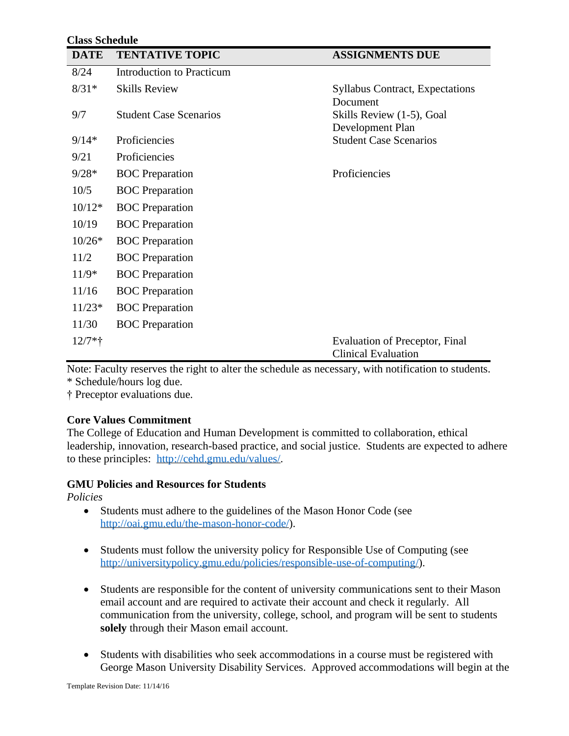#### **Class Schedule**

| <b>DATE</b> | <b>TENTATIVE TOPIC</b>           | <b>ASSIGNMENTS DUE</b>                                              |
|-------------|----------------------------------|---------------------------------------------------------------------|
| 8/24        | <b>Introduction to Practicum</b> |                                                                     |
| $8/31*$     | <b>Skills Review</b>             | <b>Syllabus Contract, Expectations</b>                              |
| 9/7         | <b>Student Case Scenarios</b>    | Document<br>Skills Review (1-5), Goal<br>Development Plan           |
| $9/14*$     | Proficiencies                    | <b>Student Case Scenarios</b>                                       |
| 9/21        | Proficiencies                    |                                                                     |
| $9/28*$     | <b>BOC</b> Preparation           | Proficiencies                                                       |
| 10/5        | <b>BOC</b> Preparation           |                                                                     |
| $10/12*$    | <b>BOC</b> Preparation           |                                                                     |
| 10/19       | <b>BOC</b> Preparation           |                                                                     |
| $10/26*$    | <b>BOC</b> Preparation           |                                                                     |
| 11/2        | <b>BOC</b> Preparation           |                                                                     |
| $11/9*$     | <b>BOC</b> Preparation           |                                                                     |
| 11/16       | <b>BOC</b> Preparation           |                                                                     |
| $11/23*$    | <b>BOC</b> Preparation           |                                                                     |
| 11/30       | <b>BOC</b> Preparation           |                                                                     |
| $12/7*$ †   |                                  | <b>Evaluation of Preceptor, Final</b><br><b>Clinical Evaluation</b> |

Note: Faculty reserves the right to alter the schedule as necessary, with notification to students. \* Schedule/hours log due.

† Preceptor evaluations due.

### **Core Values Commitment**

The College of Education and Human Development is committed to collaboration, ethical leadership, innovation, research-based practice, and social justice. Students are expected to adhere to these principles: [http://cehd.gmu.edu/values/.](http://cehd.gmu.edu/values/)

### **GMU Policies and Resources for Students**

*Policies*

- Students must adhere to the guidelines of the Mason Honor Code (see [http://oai.gmu.edu/the-mason-honor-code/\)](http://oai.gmu.edu/the-mason-honor-code/).
- Students must follow the university policy for Responsible Use of Computing (see [http://universitypolicy.gmu.edu/policies/responsible-use-of-computing/\)](http://universitypolicy.gmu.edu/policies/responsible-use-of-computing/).
- Students are responsible for the content of university communications sent to their Mason email account and are required to activate their account and check it regularly. All communication from the university, college, school, and program will be sent to students **solely** through their Mason email account.
- Students with disabilities who seek accommodations in a course must be registered with George Mason University Disability Services. Approved accommodations will begin at the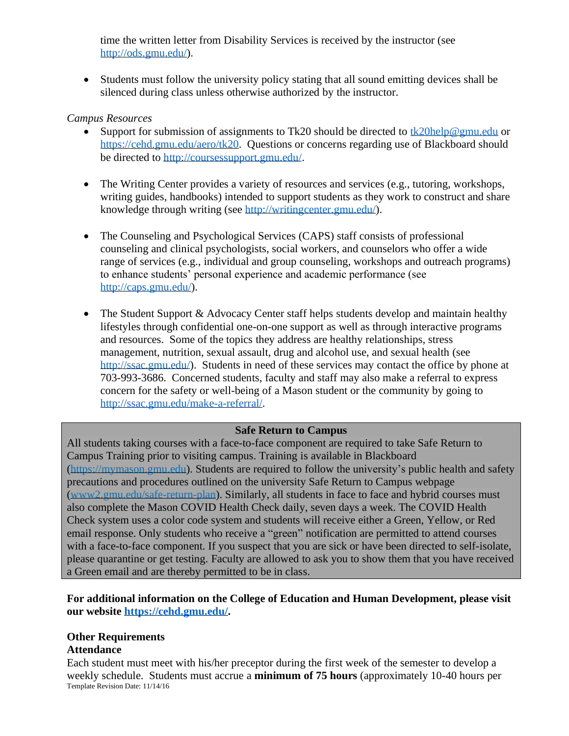time the written letter from Disability Services is received by the instructor (see [http://ods.gmu.edu/\)](http://ods.gmu.edu/).

• Students must follow the university policy stating that all sound emitting devices shall be silenced during class unless otherwise authorized by the instructor.

## *Campus Resources*

- Support for submission of assignments to Tk20 should be directed to [tk20help@gmu.edu](mailto:tk20help@gmu.edu) or [https://cehd.gmu.edu/aero/tk20.](https://cehd.gmu.edu/aero/tk20) Questions or concerns regarding use of Blackboard should be directed to [http://coursessupport.gmu.edu/.](http://coursessupport.gmu.edu/)
- The Writing Center provides a variety of resources and services (e.g., tutoring, workshops, writing guides, handbooks) intended to support students as they work to construct and share knowledge through writing (see [http://writingcenter.gmu.edu/\)](http://writingcenter.gmu.edu/).
- The Counseling and Psychological Services (CAPS) staff consists of professional counseling and clinical psychologists, social workers, and counselors who offer a wide range of services (e.g., individual and group counseling, workshops and outreach programs) to enhance students' personal experience and academic performance (see [http://caps.gmu.edu/\)](http://caps.gmu.edu/).
- The Student Support & Advocacy Center staff helps students develop and maintain healthy lifestyles through confidential one-on-one support as well as through interactive programs and resources. Some of the topics they address are healthy relationships, stress management, nutrition, sexual assault, drug and alcohol use, and sexual health (see [http://ssac.gmu.edu/\)](http://ssac.gmu.edu/). Students in need of these services may contact the office by phone at 703-993-3686. Concerned students, faculty and staff may also make a referral to express concern for the safety or well-being of a Mason student or the community by going to [http://ssac.gmu.edu/make-a-referral/.](http://ssac.gmu.edu/make-a-referral/)

# **Safe Return to Campus**

All students taking courses with a face-to-face component are required to take Safe Return to Campus Training prior to visiting campus. Training is available in Blackboard [\(https://mymason.gmu.edu\)](https://mymason.gmu.edu/). Students are required to follow the university's public health and safety precautions and procedures outlined on the university Safe Return to Campus webpage [\(www2.gmu.edu/safe-return-plan\)](https://www2.gmu.edu/safe-return-plan). Similarly, all students in face to face and hybrid courses must also complete the Mason COVID Health Check daily, seven days a week. The COVID Health Check system uses a color code system and students will receive either a Green, Yellow, or Red email response. Only students who receive a "green" notification are permitted to attend courses with a face-to-face component. If you suspect that you are sick or have been directed to self-isolate, please quarantine or get testing. Faculty are allowed to ask you to show them that you have received a Green email and are thereby permitted to be in class.

**For additional information on the College of Education and Human Development, please visit our website [https://cehd.gmu.edu/.](https://cehd.gmu.edu/)**

# **Other Requirements**

# **Attendance**

Template Revision Date: 11/14/16 Each student must meet with his/her preceptor during the first week of the semester to develop a weekly schedule. Students must accrue a **minimum of 75 hours** (approximately 10-40 hours per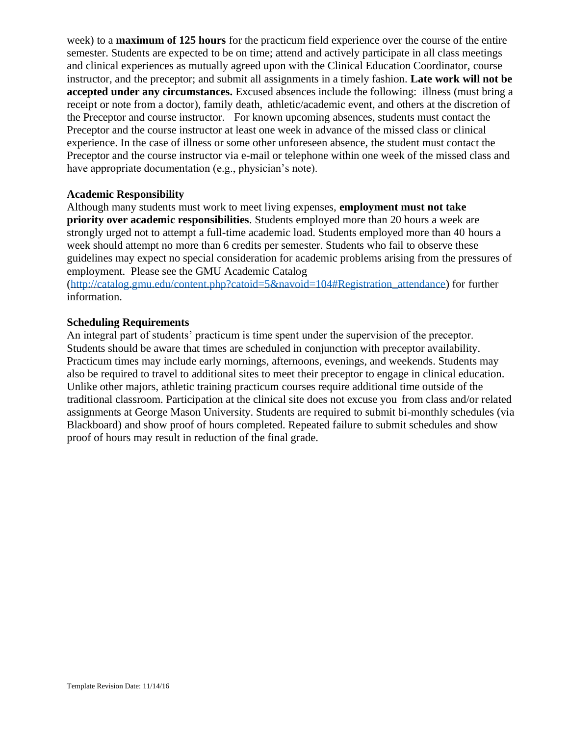week) to a **maximum of 125 hours** for the practicum field experience over the course of the entire semester. Students are expected to be on time; attend and actively participate in all class meetings and clinical experiences as mutually agreed upon with the Clinical Education Coordinator, course instructor, and the preceptor; and submit all assignments in a timely fashion. **Late work will not be accepted under any circumstances.** Excused absences include the following: illness (must bring a receipt or note from a doctor), family death, athletic/academic event, and others at the discretion of the Preceptor and course instructor. For known upcoming absences, students must contact the Preceptor and the course instructor at least one week in advance of the missed class or clinical experience. In the case of illness or some other unforeseen absence, the student must contact the Preceptor and the course instructor via e-mail or telephone within one week of the missed class and have appropriate documentation (e.g., physician's note).

### **Academic Responsibility**

Although many students must work to meet living expenses, **employment must not take priority over academic responsibilities**. Students employed more than 20 hours a week are strongly urged not to attempt a full-time academic load. Students employed more than 40 hours a week should attempt no more than 6 credits per semester. Students who fail to observe these guidelines may expect no special consideration for academic problems arising from the pressures of employment. Please see the GMU Academic Catalog

[\(http://catalog.gmu.edu/content.php?catoid=5&navoid=104#Registration\\_attendance\)](http://catalog.gmu.edu/content.php?catoid=5&navoid=104#Registration_attendance) for further information.

## **Scheduling Requirements**

An integral part of students' practicum is time spent under the supervision of the preceptor. Students should be aware that times are scheduled in conjunction with preceptor availability. Practicum times may include early mornings, afternoons, evenings, and weekends. Students may also be required to travel to additional sites to meet their preceptor to engage in clinical education. Unlike other majors, athletic training practicum courses require additional time outside of the traditional classroom. Participation at the clinical site does not excuse you from class and/or related assignments at George Mason University. Students are required to submit bi-monthly schedules (via Blackboard) and show proof of hours completed. Repeated failure to submit schedules and show proof of hours may result in reduction of the final grade.